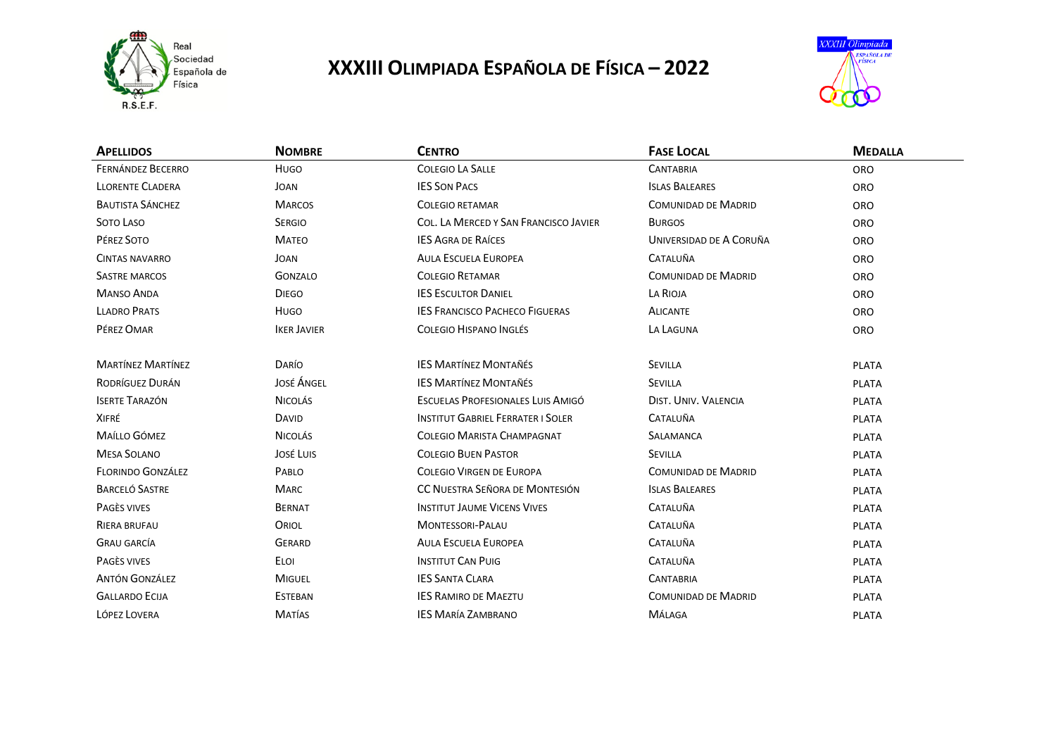

## **XXXIII OLIMPIADA ESPAÑOLA DE FÍSICA – 2022**



| <b>APELLIDOS</b>         | <b>NOMBRE</b>      | <b>CENTRO</b>                            | <b>FASE LOCAL</b>          | <b>MEDALLA</b> |
|--------------------------|--------------------|------------------------------------------|----------------------------|----------------|
| <b>FERNÁNDEZ BECERRO</b> | HUGO               | <b>COLEGIO LA SALLE</b>                  | <b>CANTABRIA</b>           | <b>ORO</b>     |
| <b>LLORENTE CLADERA</b>  | JOAN               | <b>IES SON PACS</b>                      | <b>ISLAS BALEARES</b>      | <b>ORO</b>     |
| <b>BAUTISTA SÁNCHEZ</b>  | <b>MARCOS</b>      | <b>COLEGIO RETAMAR</b>                   | <b>COMUNIDAD DE MADRID</b> | <b>ORO</b>     |
| SOTO LASO                | <b>SERGIO</b>      | COL. LA MERCED Y SAN FRANCISCO JAVIER    | <b>BURGOS</b>              | <b>ORO</b>     |
| PÉREZ SOTO               | <b>MATEO</b>       | <b>IES AGRA DE RAÍCES</b>                | UNIVERSIDAD DE A CORUÑA    | <b>ORO</b>     |
| <b>CINTAS NAVARRO</b>    | JOAN               | <b>AULA ESCUELA EUROPEA</b>              | <b>CATALUÑA</b>            | <b>ORO</b>     |
| <b>SASTRE MARCOS</b>     | GONZALO            | <b>COLEGIO RETAMAR</b>                   | <b>COMUNIDAD DE MADRID</b> | <b>ORO</b>     |
| <b>MANSO ANDA</b>        | <b>DIEGO</b>       | <b>IES ESCULTOR DANIEL</b>               | LA RIOJA                   | <b>ORO</b>     |
| <b>LLADRO PRATS</b>      | HUGO               | <b>IES FRANCISCO PACHECO FIGUERAS</b>    | <b>ALICANTE</b>            | <b>ORO</b>     |
| PÉREZ OMAR               | <b>IKER JAVIER</b> | COLEGIO HISPANO INGLÉS                   | LA LAGUNA                  | <b>ORO</b>     |
|                          |                    |                                          |                            |                |
| <b>MARTÍNEZ MARTÍNEZ</b> | DARÍO              | <b>IES MARTÍNEZ MONTAÑÉS</b>             | <b>SEVILLA</b>             | <b>PLATA</b>   |
| RODRÍGUEZ DURÁN          | <b>JOSÉ ÁNGEL</b>  | <b>IES MARTÍNEZ MONTAÑÉS</b>             | <b>SEVILLA</b>             | <b>PLATA</b>   |
| <b>ISERTE TARAZÓN</b>    | <b>NICOLÁS</b>     | ESCUELAS PROFESIONALES LUIS AMIGÓ        | DIST. UNIV. VALENCIA       | <b>PLATA</b>   |
| XIFRÉ                    | <b>DAVID</b>       | <b>INSTITUT GABRIEL FERRATER I SOLER</b> | <b>CATALUÑA</b>            | <b>PLATA</b>   |
| MAÍLLO GÓMEZ             | <b>NICOLÁS</b>     | <b>COLEGIO MARISTA CHAMPAGNAT</b>        | <b>SALAMANCA</b>           | <b>PLATA</b>   |
| <b>MESA SOLANO</b>       | JOSÉ LUIS          | <b>COLEGIO BUEN PASTOR</b>               | <b>SEVILLA</b>             | <b>PLATA</b>   |
| <b>FLORINDO GONZÁLEZ</b> | PABLO              | COLEGIO VIRGEN DE EUROPA                 | <b>COMUNIDAD DE MADRID</b> | <b>PLATA</b>   |
| <b>BARCELÓ SASTRE</b>    | <b>MARC</b>        | CC NUESTRA SEÑORA DE MONTESIÓN           | <b>ISLAS BALEARES</b>      | <b>PLATA</b>   |
| PAGÈS VIVES              | <b>BERNAT</b>      | <b>INSTITUT JAUME VICENS VIVES</b>       | <b>CATALUÑA</b>            | <b>PLATA</b>   |
| RIERA BRUFAU             | ORIOL              | <b>MONTESSORI-PALAU</b>                  | CATALUÑA                   | <b>PLATA</b>   |
| <b>GRAU GARCÍA</b>       | <b>GERARD</b>      | <b>AULA ESCUELA EUROPEA</b>              | <b>CATALUÑA</b>            | <b>PLATA</b>   |
| PAGÈS VIVES              | ELOI               | <b>INSTITUT CAN PUIG</b>                 | <b>CATALUÑA</b>            | <b>PLATA</b>   |
| <b>ANTÓN GONZÁLEZ</b>    | <b>MIGUEL</b>      | <b>IES SANTA CLARA</b>                   | <b>CANTABRIA</b>           | <b>PLATA</b>   |
| <b>GALLARDO ECIJA</b>    | <b>ESTEBAN</b>     | <b>IES RAMIRO DE MAEZTU</b>              | <b>COMUNIDAD DE MADRID</b> | <b>PLATA</b>   |
| LÓPEZ LOVERA             | <b>MATÍAS</b>      | <b>IES MARÍA ZAMBRANO</b>                | MÁLAGA                     | <b>PLATA</b>   |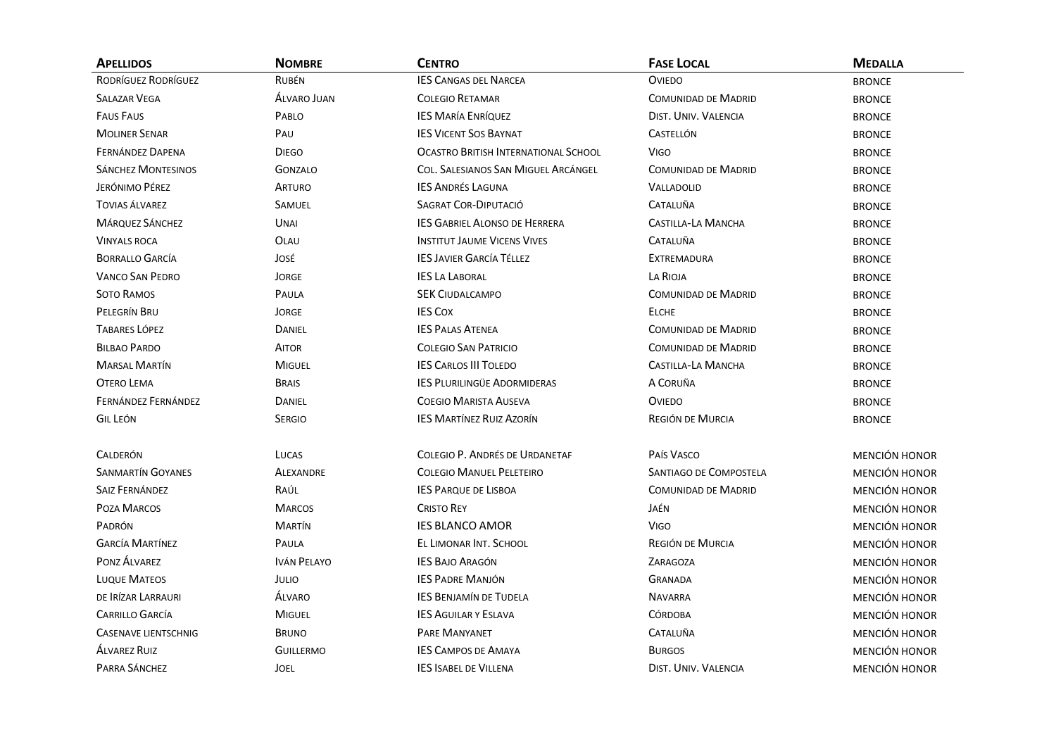| <b>APELLIDOS</b>            | <b>NOMBRE</b>      | <b>CENTRO</b>                               | <b>FASE LOCAL</b>             | <b>MEDALLA</b>       |
|-----------------------------|--------------------|---------------------------------------------|-------------------------------|----------------------|
| RODRÍGUEZ RODRÍGUEZ         | <b>RUBÉN</b>       | <b>IES CANGAS DEL NARCEA</b>                | <b>OVIEDO</b>                 | <b>BRONCE</b>        |
| <b>SALAZAR VEGA</b>         | <b>ALVARO JUAN</b> | <b>COLEGIO RETAMAR</b>                      | <b>COMUNIDAD DE MADRID</b>    | <b>BRONCE</b>        |
| <b>FAUS FAUS</b>            | PABLO              | <b>IES MARÍA ENRÍQUEZ</b>                   | DIST. UNIV. VALENCIA          | <b>BRONCE</b>        |
| <b>MOLINER SENAR</b>        | PAU                | <b>IES VICENT SOS BAYNAT</b>                | <b>CASTELLÓN</b>              | <b>BRONCE</b>        |
| FERNÁNDEZ DAPENA            | <b>DIEGO</b>       | <b>OCASTRO BRITISH INTERNATIONAL SCHOOL</b> | Vigo                          | <b>BRONCE</b>        |
| <b>SÁNCHEZ MONTESINOS</b>   | <b>GONZALO</b>     | COL. SALESIANOS SAN MIGUEL ARCÁNGEL         | <b>COMUNIDAD DE MADRID</b>    | <b>BRONCE</b>        |
| JERÓNIMO PÉREZ              | <b>ARTURO</b>      | <b>IES ANDRÉS LAGUNA</b>                    | VALLADOLID                    | <b>BRONCE</b>        |
| <b>TOVIAS ÁLVAREZ</b>       | SAMUEL             | SAGRAT COR-DIPUTACIÓ                        | CATALUÑA                      | <b>BRONCE</b>        |
| <b>MÁRQUEZ SÁNCHEZ</b>      | UNAI               | <b>IES GABRIEL ALONSO DE HERRERA</b>        | <b>CASTILLA-LA MANCHA</b>     | <b>BRONCE</b>        |
| <b>VINYALS ROCA</b>         | OLAU               | <b>INSTITUT JAUME VICENS VIVES</b>          | CATALUÑA                      | <b>BRONCE</b>        |
| <b>BORRALLO GARCÍA</b>      | José               | <b>IES JAVIER GARCÍA TÉLLEZ</b>             | <b>EXTREMADURA</b>            | <b>BRONCE</b>        |
| <b>VANCO SAN PEDRO</b>      | <b>JORGE</b>       | <b>IES LA LABORAL</b>                       | LA RIOJA                      | <b>BRONCE</b>        |
| SOTO RAMOS                  | PAULA              | <b>SEK CIUDALCAMPO</b>                      | <b>COMUNIDAD DE MADRID</b>    | <b>BRONCE</b>        |
| PELEGRÍN BRU                | <b>JORGE</b>       | <b>IES COX</b>                              | <b>ELCHE</b>                  | <b>BRONCE</b>        |
| <b>TABARES LÓPEZ</b>        | <b>DANIEL</b>      | <b>IES PALAS ATENEA</b>                     | <b>COMUNIDAD DE MADRID</b>    | <b>BRONCE</b>        |
| <b>BILBAO PARDO</b>         | <b>AITOR</b>       | <b>COLEGIO SAN PATRICIO</b>                 | <b>COMUNIDAD DE MADRID</b>    | <b>BRONCE</b>        |
| <b>MARSAL MARTÍN</b>        | <b>MIGUEL</b>      | <b>IES CARLOS III TOLEDO</b>                | <b>CASTILLA-LA MANCHA</b>     | <b>BRONCE</b>        |
| <b>OTERO LEMA</b>           | <b>BRAIS</b>       | <b>IES PLURILINGÜE ADORMIDERAS</b>          | A CORUÑA                      | <b>BRONCE</b>        |
| FERNÁNDEZ FERNÁNDEZ         | DANIEL             | <b>COEGIO MARISTA AUSEVA</b>                | <b>OVIEDO</b>                 | <b>BRONCE</b>        |
| <b>GIL LEÓN</b>             | <b>SERGIO</b>      | <b>IES MARTÍNEZ RUIZ AZORÍN</b>             | REGIÓN DE MURCIA              | <b>BRONCE</b>        |
| <b>CALDERÓN</b>             | LUCAS              | COLEGIO P. ANDRÉS DE URDANETAF              | PAÍS VASCO                    | <b>MENCIÓN HONOR</b> |
| <b>SANMARTÍN GOYANES</b>    | <b>ALEXANDRE</b>   | <b>COLEGIO MANUEL PELETEIRO</b>             | <b>SANTIAGO DE COMPOSTELA</b> | <b>MENCIÓN HONOR</b> |
| <b>SAIZ FERNÁNDEZ</b>       | RAÚL               | <b>IES PARQUE DE LISBOA</b>                 | <b>COMUNIDAD DE MADRID</b>    | <b>MENCIÓN HONOR</b> |
| POZA MARCOS                 | <b>MARCOS</b>      | <b>CRISTO REY</b>                           | JAÉN                          | <b>MENCIÓN HONOR</b> |
| PADRÓN                      | <b>MARTÍN</b>      | <b>IES BLANCO AMOR</b>                      | <b>VIGO</b>                   | <b>MENCIÓN HONOR</b> |
| <b>GARCÍA MARTÍNEZ</b>      | PAULA              | EL LIMONAR INT. SCHOOL                      | <b>REGIÓN DE MURCIA</b>       | <b>MENCIÓN HONOR</b> |
| PONZ ÁLVAREZ                | <b>IVÁN PELAYO</b> | <b>IES BAJO ARAGÓN</b>                      | ZARAGOZA                      | <b>MENCIÓN HONOR</b> |
| <b>LUQUE MATEOS</b>         | JULIO              | <b>IES PADRE MANJÓN</b>                     | <b>GRANADA</b>                | <b>MENCIÓN HONOR</b> |
| DE IRÍZAR LARRAURI          | <b>ALVARO</b>      | <b>IES BENJAMÍN DE TUDELA</b>               | <b>NAVARRA</b>                | MENCIÓN HONOR        |
| <b>CARRILLO GARCÍA</b>      | <b>MIGUEL</b>      | <b>IES AGUILARY ESLAVA</b>                  | <b>CÓRDOBA</b>                | <b>MENCIÓN HONOR</b> |
| <b>CASENAVE LIENTSCHNIG</b> | <b>BRUNO</b>       | <b>PARE MANYANET</b>                        | CATALUÑA                      | <b>MENCIÓN HONOR</b> |
| <b>ALVAREZ RUIZ</b>         | <b>GUILLERMO</b>   | <b>IES CAMPOS DE AMAYA</b>                  | <b>BURGOS</b>                 | <b>MENCIÓN HONOR</b> |
| PARRA SÁNCHEZ               | <b>JOEL</b>        | <b>IES ISABEL DE VILLENA</b>                | <b>DIST. UNIV. VALENCIA</b>   | <b>MENCIÓN HONOR</b> |